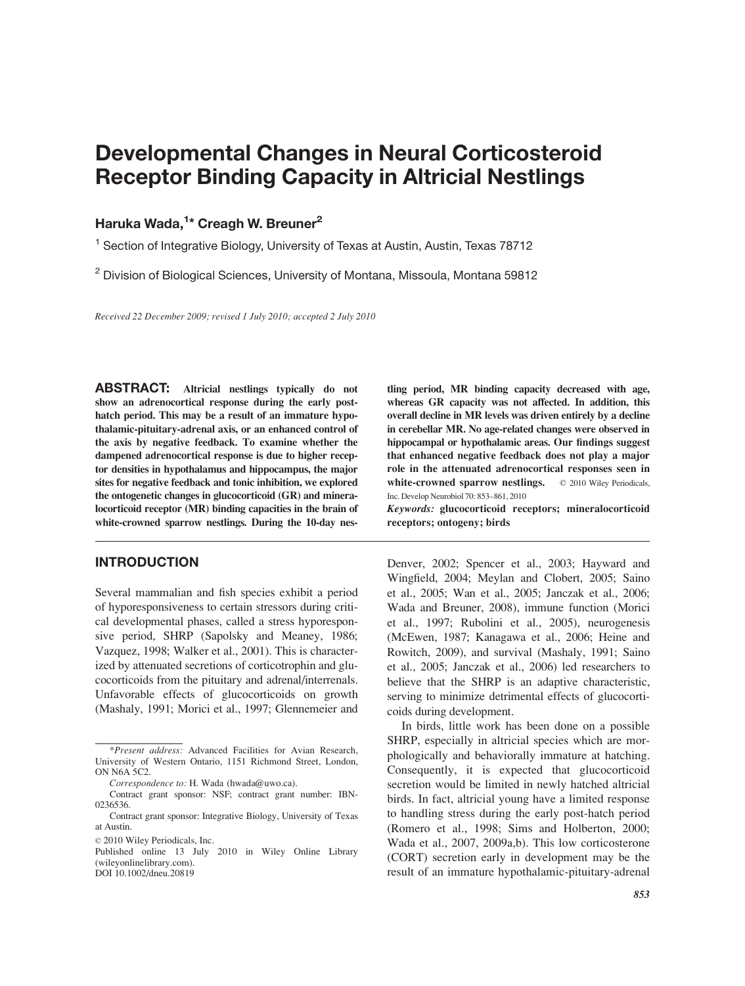# Developmental Changes in Neural Corticosteroid Receptor Binding Capacity in Altricial Nestlings

# Haruka Wada,<sup>1</sup>\* Creagh W. Breuner<sup>2</sup>

<sup>1</sup> Section of Integrative Biology, University of Texas at Austin, Austin, Texas 78712

<sup>2</sup> Division of Biological Sciences, University of Montana, Missoula, Montana 59812

Received 22 December 2009; revised 1 July 2010; accepted 2 July 2010

ABSTRACT: Altricial nestlings typically do not show an adrenocortical response during the early posthatch period. This may be a result of an immature hypothalamic-pituitary-adrenal axis, or an enhanced control of the axis by negative feedback. To examine whether the dampened adrenocortical response is due to higher receptor densities in hypothalamus and hippocampus, the major sites for negative feedback and tonic inhibition, we explored the ontogenetic changes in glucocorticoid (GR) and mineralocorticoid receptor (MR) binding capacities in the brain of white-crowned sparrow nestlings. During the 10-day nes-

# INTRODUCTION

Several mammalian and fish species exhibit a period of hyporesponsiveness to certain stressors during critical developmental phases, called a stress hyporesponsive period, SHRP (Sapolsky and Meaney, 1986; Vazquez, 1998; Walker et al., 2001). This is characterized by attenuated secretions of corticotrophin and glucocorticoids from the pituitary and adrenal/interrenals. Unfavorable effects of glucocorticoids on growth (Mashaly, 1991; Morici et al., 1997; Glennemeier and tling period, MR binding capacity decreased with age, whereas GR capacity was not affected. In addition, this overall decline in MR levels was driven entirely by a decline in cerebellar MR. No age-related changes were observed in hippocampal or hypothalamic areas. Our findings suggest that enhanced negative feedback does not play a major role in the attenuated adrenocortical responses seen in white-crowned sparrow nestlings.  $\oslash$  2010 Wiley Periodicals, Inc. Develop Neurobiol 70: 853–861, 2010

Keywords: glucocorticoid receptors; mineralocorticoid receptors; ontogeny; birds

Denver, 2002; Spencer et al., 2003; Hayward and Wingfield, 2004; Meylan and Clobert, 2005; Saino et al., 2005; Wan et al., 2005; Janczak et al., 2006; Wada and Breuner, 2008), immune function (Morici et al., 1997; Rubolini et al., 2005), neurogenesis (McEwen, 1987; Kanagawa et al., 2006; Heine and Rowitch, 2009), and survival (Mashaly, 1991; Saino et al., 2005; Janczak et al., 2006) led researchers to believe that the SHRP is an adaptive characteristic, serving to minimize detrimental effects of glucocorticoids during development.

In birds, little work has been done on a possible SHRP, especially in altricial species which are morphologically and behaviorally immature at hatching. Consequently, it is expected that glucocorticoid secretion would be limited in newly hatched altricial birds. In fact, altricial young have a limited response to handling stress during the early post-hatch period (Romero et al., 1998; Sims and Holberton, 2000; Wada et al., 2007, 2009a,b). This low corticosterone (CORT) secretion early in development may be the result of an immature hypothalamic-pituitary-adrenal

<sup>\*</sup>Present address: Advanced Facilities for Avian Research, University of Western Ontario, 1151 Richmond Street, London, ON N6A 5C2.

Correspondence to: H. Wada (hwada@uwo.ca).

Contract grant sponsor: NSF; contract grant number: IBN-0236536.

Contract grant sponsor: Integrative Biology, University of Texas at Austin.

 $@$  2010 Wiley Periodicals, Inc.

Published online 13 July 2010 in Wiley Online Library (wileyonlinelibrary.com).

DOI 10.1002/dneu.20819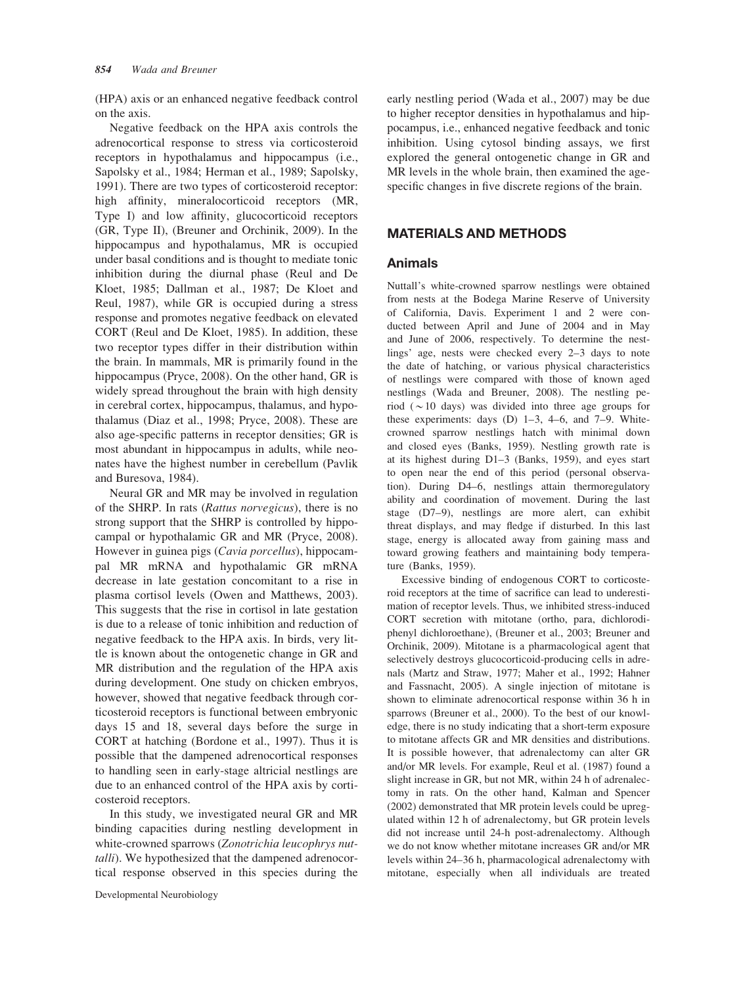(HPA) axis or an enhanced negative feedback control on the axis.

Negative feedback on the HPA axis controls the adrenocortical response to stress via corticosteroid receptors in hypothalamus and hippocampus (i.e., Sapolsky et al., 1984; Herman et al., 1989; Sapolsky, 1991). There are two types of corticosteroid receptor: high affinity, mineralocorticoid receptors (MR, Type I) and low affinity, glucocorticoid receptors (GR, Type II), (Breuner and Orchinik, 2009). In the hippocampus and hypothalamus, MR is occupied under basal conditions and is thought to mediate tonic inhibition during the diurnal phase (Reul and De Kloet, 1985; Dallman et al., 1987; De Kloet and Reul, 1987), while GR is occupied during a stress response and promotes negative feedback on elevated CORT (Reul and De Kloet, 1985). In addition, these two receptor types differ in their distribution within the brain. In mammals, MR is primarily found in the hippocampus (Pryce, 2008). On the other hand, GR is widely spread throughout the brain with high density in cerebral cortex, hippocampus, thalamus, and hypothalamus (Diaz et al., 1998; Pryce, 2008). These are also age-specific patterns in receptor densities; GR is most abundant in hippocampus in adults, while neonates have the highest number in cerebellum (Pavlik and Buresova, 1984).

Neural GR and MR may be involved in regulation of the SHRP. In rats (Rattus norvegicus), there is no strong support that the SHRP is controlled by hippocampal or hypothalamic GR and MR (Pryce, 2008). However in guinea pigs (Cavia porcellus), hippocampal MR mRNA and hypothalamic GR mRNA decrease in late gestation concomitant to a rise in plasma cortisol levels (Owen and Matthews, 2003). This suggests that the rise in cortisol in late gestation is due to a release of tonic inhibition and reduction of negative feedback to the HPA axis. In birds, very little is known about the ontogenetic change in GR and MR distribution and the regulation of the HPA axis during development. One study on chicken embryos, however, showed that negative feedback through corticosteroid receptors is functional between embryonic days 15 and 18, several days before the surge in CORT at hatching (Bordone et al., 1997). Thus it is possible that the dampened adrenocortical responses to handling seen in early-stage altricial nestlings are due to an enhanced control of the HPA axis by corticosteroid receptors.

In this study, we investigated neural GR and MR binding capacities during nestling development in white-crowned sparrows (Zonotrichia leucophrys nuttalli). We hypothesized that the dampened adrenocortical response observed in this species during the

early nestling period (Wada et al., 2007) may be due to higher receptor densities in hypothalamus and hippocampus, i.e., enhanced negative feedback and tonic inhibition. Using cytosol binding assays, we first explored the general ontogenetic change in GR and MR levels in the whole brain, then examined the agespecific changes in five discrete regions of the brain.

# MATERIALS AND METHODS

### Animals

Nuttall's white-crowned sparrow nestlings were obtained from nests at the Bodega Marine Reserve of University of California, Davis. Experiment 1 and 2 were conducted between April and June of 2004 and in May and June of 2006, respectively. To determine the nestlings' age, nests were checked every 2–3 days to note the date of hatching, or various physical characteristics of nestlings were compared with those of known aged nestlings (Wada and Breuner, 2008). The nestling period ( $\sim$ 10 days) was divided into three age groups for these experiments: days  $(D)$  1–3, 4–6, and 7–9. Whitecrowned sparrow nestlings hatch with minimal down and closed eyes (Banks, 1959). Nestling growth rate is at its highest during D1–3 (Banks, 1959), and eyes start to open near the end of this period (personal observation). During D4–6, nestlings attain thermoregulatory ability and coordination of movement. During the last stage (D7–9), nestlings are more alert, can exhibit threat displays, and may fledge if disturbed. In this last stage, energy is allocated away from gaining mass and toward growing feathers and maintaining body temperature (Banks, 1959).

Excessive binding of endogenous CORT to corticosteroid receptors at the time of sacrifice can lead to underestimation of receptor levels. Thus, we inhibited stress-induced CORT secretion with mitotane (ortho, para, dichlorodiphenyl dichloroethane), (Breuner et al., 2003; Breuner and Orchinik, 2009). Mitotane is a pharmacological agent that selectively destroys glucocorticoid-producing cells in adrenals (Martz and Straw, 1977; Maher et al., 1992; Hahner and Fassnacht, 2005). A single injection of mitotane is shown to eliminate adrenocortical response within 36 h in sparrows (Breuner et al., 2000). To the best of our knowledge, there is no study indicating that a short-term exposure to mitotane affects GR and MR densities and distributions. It is possible however, that adrenalectomy can alter GR and/or MR levels. For example, Reul et al. (1987) found a slight increase in GR, but not MR, within 24 h of adrenalectomy in rats. On the other hand, Kalman and Spencer (2002) demonstrated that MR protein levels could be upregulated within 12 h of adrenalectomy, but GR protein levels did not increase until 24-h post-adrenalectomy. Although we do not know whether mitotane increases GR and/or MR levels within 24–36 h, pharmacological adrenalectomy with mitotane, especially when all individuals are treated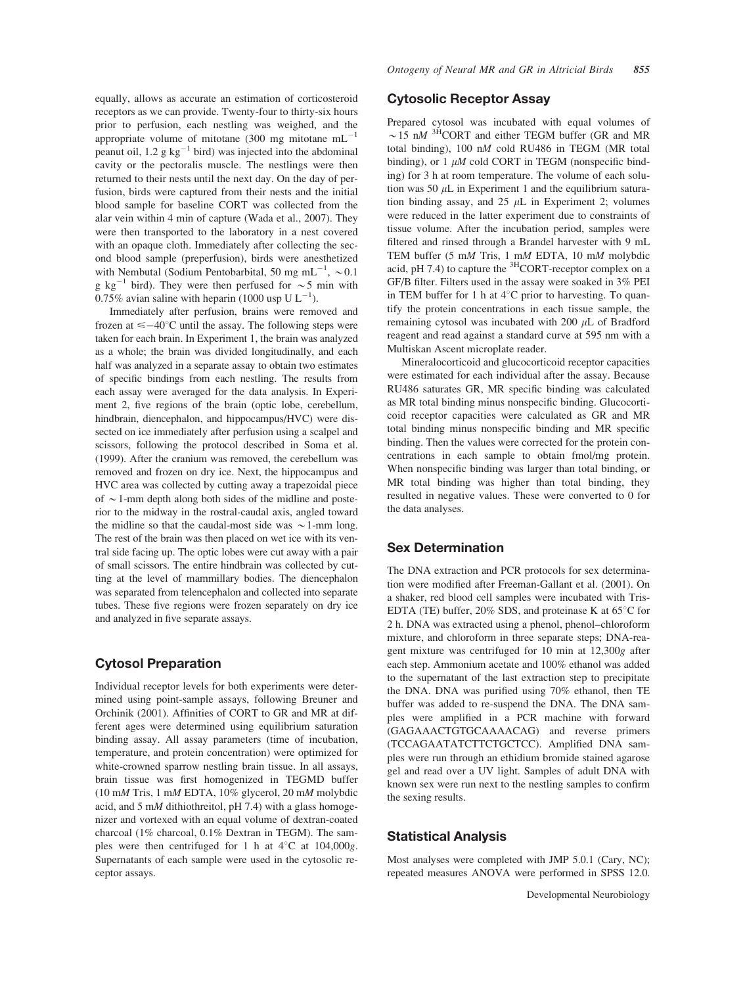equally, allows as accurate an estimation of corticosteroid receptors as we can provide. Twenty-four to thirty-six hours prior to perfusion, each nestling was weighed, and the appropriate volume of mitotane (300 mg mitotane  $mL^{-1}$ peanut oil, 1.2 g  $kg^{-1}$  bird) was injected into the abdominal cavity or the pectoralis muscle. The nestlings were then returned to their nests until the next day. On the day of perfusion, birds were captured from their nests and the initial blood sample for baseline CORT was collected from the alar vein within 4 min of capture (Wada et al., 2007). They were then transported to the laboratory in a nest covered with an opaque cloth. Immediately after collecting the second blood sample (preperfusion), birds were anesthetized with Nembutal (Sodium Pentobarbital, 50 mg mL<sup>-1</sup>,  $\sim 0.1$ g kg<sup>-1</sup> bird). They were then perfused for  $\sim$ 5 min with 0.75% avian saline with heparin (1000 usp U  $L^{-1}$ ).

Immediately after perfusion, brains were removed and frozen at  $\leq -40^{\circ}$ C until the assay. The following steps were taken for each brain. In Experiment 1, the brain was analyzed as a whole; the brain was divided longitudinally, and each half was analyzed in a separate assay to obtain two estimates of specific bindings from each nestling. The results from each assay were averaged for the data analysis. In Experiment 2, five regions of the brain (optic lobe, cerebellum, hindbrain, diencephalon, and hippocampus/HVC) were dissected on ice immediately after perfusion using a scalpel and scissors, following the protocol described in Soma et al. (1999). After the cranium was removed, the cerebellum was removed and frozen on dry ice. Next, the hippocampus and HVC area was collected by cutting away a trapezoidal piece of  $\sim$  1-mm depth along both sides of the midline and posterior to the midway in the rostral-caudal axis, angled toward the midline so that the caudal-most side was  $\sim$  1-mm long. The rest of the brain was then placed on wet ice with its ventral side facing up. The optic lobes were cut away with a pair of small scissors. The entire hindbrain was collected by cutting at the level of mammillary bodies. The diencephalon was separated from telencephalon and collected into separate tubes. These five regions were frozen separately on dry ice and analyzed in five separate assays.

#### Cytosol Preparation

Individual receptor levels for both experiments were determined using point-sample assays, following Breuner and Orchinik (2001). Affinities of CORT to GR and MR at different ages were determined using equilibrium saturation binding assay. All assay parameters (time of incubation, temperature, and protein concentration) were optimized for white-crowned sparrow nestling brain tissue. In all assays, brain tissue was first homogenized in TEGMD buffer (10 mM Tris, 1 mM EDTA, 10% glycerol, 20 mM molybdic acid, and 5 mM dithiothreitol, pH 7.4) with a glass homogenizer and vortexed with an equal volume of dextran-coated charcoal (1% charcoal, 0.1% Dextran in TEGM). The samples were then centrifuged for 1 h at  $4^{\circ}$ C at 104,000g. Supernatants of each sample were used in the cytosolic receptor assays.

#### Cytosolic Receptor Assay

Prepared cytosol was incubated with equal volumes of  $\sim$  15 nM <sup>3H</sup>CORT and either TEGM buffer (GR and MR total binding), 100 nM cold RU486 in TEGM (MR total binding), or  $1 \mu M$  cold CORT in TEGM (nonspecific binding) for 3 h at room temperature. The volume of each solution was 50  $\mu$ L in Experiment 1 and the equilibrium saturation binding assay, and  $25 \mu L$  in Experiment 2; volumes were reduced in the latter experiment due to constraints of tissue volume. After the incubation period, samples were filtered and rinsed through a Brandel harvester with 9 mL TEM buffer (5 mM Tris, 1 mM EDTA, 10 mM molybdic acid, pH 7.4) to capture the  ${}^{3}$ HCORT-receptor complex on a GF/B filter. Filters used in the assay were soaked in 3% PEI in TEM buffer for 1 h at  $4^{\circ}$ C prior to harvesting. To quantify the protein concentrations in each tissue sample, the remaining cytosol was incubated with 200  $\mu$ L of Bradford reagent and read against a standard curve at 595 nm with a Multiskan Ascent microplate reader.

Mineralocorticoid and glucocorticoid receptor capacities were estimated for each individual after the assay. Because RU486 saturates GR, MR specific binding was calculated as MR total binding minus nonspecific binding. Glucocorticoid receptor capacities were calculated as GR and MR total binding minus nonspecific binding and MR specific binding. Then the values were corrected for the protein concentrations in each sample to obtain fmol/mg protein. When nonspecific binding was larger than total binding, or MR total binding was higher than total binding, they resulted in negative values. These were converted to 0 for the data analyses.

#### Sex Determination

The DNA extraction and PCR protocols for sex determination were modified after Freeman-Gallant et al. (2001). On a shaker, red blood cell samples were incubated with Tris-EDTA (TE) buffer, 20% SDS, and proteinase K at  $65^{\circ}$ C for 2 h. DNA was extracted using a phenol, phenol–chloroform mixture, and chloroform in three separate steps; DNA-reagent mixture was centrifuged for 10 min at 12,300g after each step. Ammonium acetate and 100% ethanol was added to the supernatant of the last extraction step to precipitate the DNA. DNA was purified using 70% ethanol, then TE buffer was added to re-suspend the DNA. The DNA samples were amplified in a PCR machine with forward (GAGAAACTGTGCAAAACAG) and reverse primers (TCCAGAATATCTTCTGCTCC). Amplified DNA samples were run through an ethidium bromide stained agarose gel and read over a UV light. Samples of adult DNA with known sex were run next to the nestling samples to confirm the sexing results.

# Statistical Analysis

Most analyses were completed with JMP 5.0.1 (Cary, NC); repeated measures ANOVA were performed in SPSS 12.0.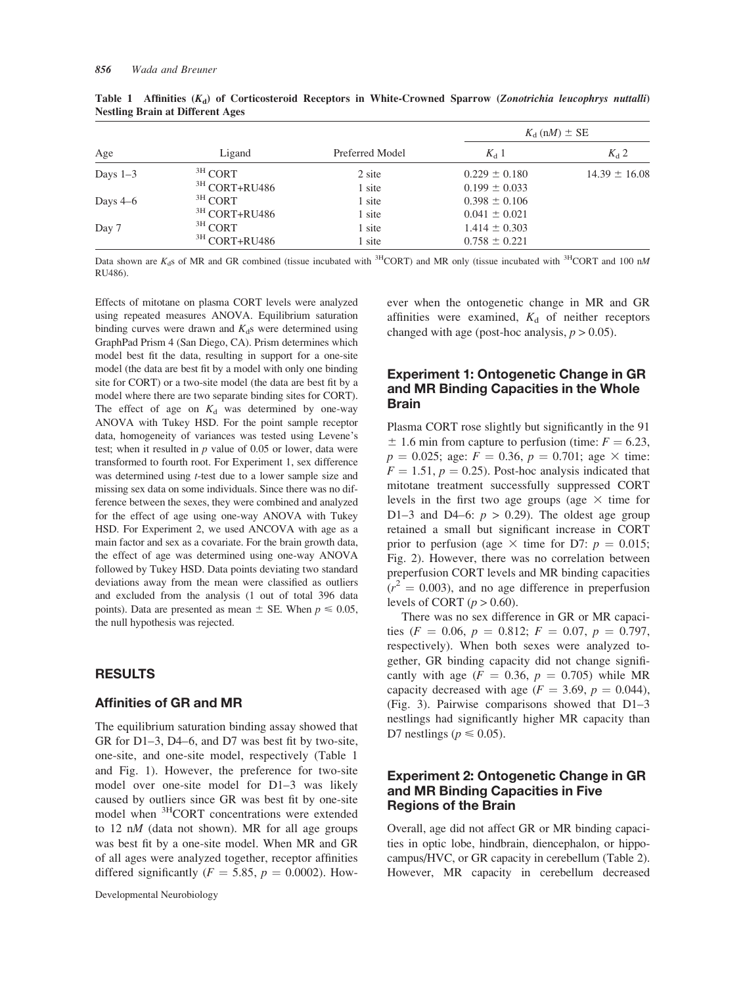| Age        | Ligand                   | Preferred Model | $K_{d}$ (nM) $\pm$ SE |                   |  |
|------------|--------------------------|-----------------|-----------------------|-------------------|--|
|            |                          |                 | $K_{d}$ 1             | $K_d$ 2           |  |
| Days $1-3$ | $3H$ CORT                | 2 site          | $0.229 \pm 0.180$     | $14.39 \pm 16.08$ |  |
|            | <sup>3H</sup> CORT+RU486 | 1 site          | $0.199 \pm 0.033$     |                   |  |
| Days $4-6$ | $3H$ CORT                | 1 site          | $0.398 \pm 0.106$     |                   |  |
|            | <sup>3H</sup> CORT+RU486 | 1 site          | $0.041 \pm 0.021$     |                   |  |
| Day 7      | $3H$ CORT                | 1 site          | $1.414 \pm 0.303$     |                   |  |
|            | <sup>3H</sup> CORT+RU486 | 1 site          | $0.758 \pm 0.221$     |                   |  |

Table 1 Affinities  $(K_d)$  of Corticosteroid Receptors in White-Crowned Sparrow (Zonotrichia leucophrys nuttalli) Nestling Brain at Different Ages

Data shown are K<sub>d</sub>s of MR and GR combined (tissue incubated with <sup>3H</sup>CORT) and MR only (tissue incubated with <sup>3H</sup>CORT and 100 nM RU486).

Effects of mitotane on plasma CORT levels were analyzed using repeated measures ANOVA. Equilibrium saturation binding curves were drawn and  $K_d$ s were determined using GraphPad Prism 4 (San Diego, CA). Prism determines which model best fit the data, resulting in support for a one-site model (the data are best fit by a model with only one binding site for CORT) or a two-site model (the data are best fit by a model where there are two separate binding sites for CORT). The effect of age on  $K_d$  was determined by one-way ANOVA with Tukey HSD. For the point sample receptor data, homogeneity of variances was tested using Levene's test; when it resulted in  $p$  value of 0.05 or lower, data were transformed to fourth root. For Experiment 1, sex difference was determined using *t*-test due to a lower sample size and missing sex data on some individuals. Since there was no difference between the sexes, they were combined and analyzed for the effect of age using one-way ANOVA with Tukey HSD. For Experiment 2, we used ANCOVA with age as a main factor and sex as a covariate. For the brain growth data, the effect of age was determined using one-way ANOVA followed by Tukey HSD. Data points deviating two standard deviations away from the mean were classified as outliers and excluded from the analysis (1 out of total 396 data points). Data are presented as mean  $\pm$  SE. When  $p \le 0.05$ , the null hypothesis was rejected.

#### RESULTS

#### Affinities of GR and MR

The equilibrium saturation binding assay showed that GR for D1–3, D4–6, and D7 was best fit by two-site, one-site, and one-site model, respectively (Table 1 and Fig. 1). However, the preference for two-site model over one-site model for D1–3 was likely caused by outliers since GR was best fit by one-site model when 3HCORT concentrations were extended to 12  $nM$  (data not shown). MR for all age groups was best fit by a one-site model. When MR and GR of all ages were analyzed together, receptor affinities differed significantly ( $F = 5.85$ ,  $p = 0.0002$ ). However when the ontogenetic change in MR and GR affinities were examined,  $K_d$  of neither receptors changed with age (post-hoc analysis,  $p > 0.05$ ).

# Experiment 1: Ontogenetic Change in GR and MR Binding Capacities in the Whole Brain

Plasma CORT rose slightly but significantly in the 91  $\pm$  1.6 min from capture to perfusion (time:  $F = 6.23$ ,  $p = 0.025$ ; age:  $F = 0.36$ ,  $p = 0.701$ ; age  $\times$  time:  $F = 1.51$ ,  $p = 0.25$ ). Post-hoc analysis indicated that mitotane treatment successfully suppressed CORT levels in the first two age groups (age  $\times$  time for D1–3 and D4–6:  $p > 0.29$ ). The oldest age group retained a small but significant increase in CORT prior to perfusion (age  $\times$  time for D7:  $p = 0.015$ ; Fig. 2). However, there was no correlation between preperfusion CORT levels and MR binding capacities  $(r^2 = 0.003)$ , and no age difference in preperfusion levels of CORT ( $p > 0.60$ ).

There was no sex difference in GR or MR capacities ( $F = 0.06$ ,  $p = 0.812$ ;  $F = 0.07$ ,  $p = 0.797$ , respectively). When both sexes were analyzed together, GR binding capacity did not change significantly with age  $(F = 0.36, p = 0.705)$  while MR capacity decreased with age ( $F = 3.69$ ,  $p = 0.044$ ), (Fig. 3). Pairwise comparisons showed that D1–3 nestlings had significantly higher MR capacity than D7 nestlings ( $p \le 0.05$ ).

# Experiment 2: Ontogenetic Change in GR and MR Binding Capacities in Five Regions of the Brain

Overall, age did not affect GR or MR binding capacities in optic lobe, hindbrain, diencephalon, or hippocampus/HVC, or GR capacity in cerebellum (Table 2). However, MR capacity in cerebellum decreased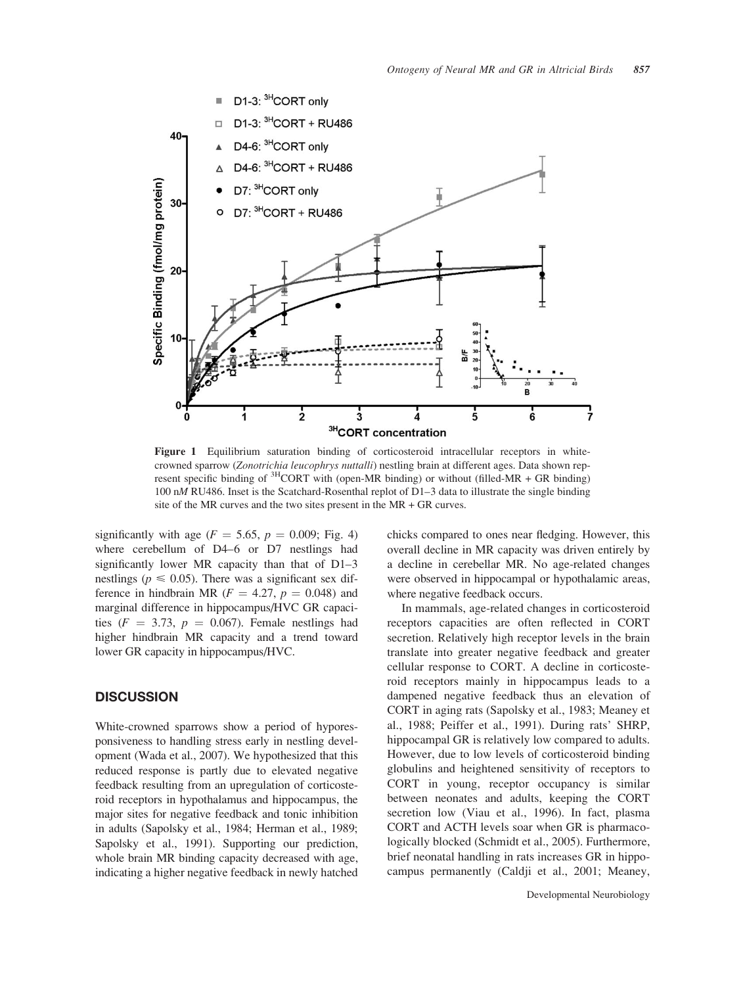

Figure 1 Equilibrium saturation binding of corticosteroid intracellular receptors in whitecrowned sparrow (Zonotrichia leucophrys nuttalli) nestling brain at different ages. Data shown represent specific binding of  ${}^{3}$ HCORT with (open-MR binding) or without (filled-MR + GR binding) 100 nM RU486. Inset is the Scatchard-Rosenthal replot of D1–3 data to illustrate the single binding site of the MR curves and the two sites present in the MR + GR curves.

significantly with age ( $F = 5.65$ ,  $p = 0.009$ ; Fig. 4) where cerebellum of D4–6 or D7 nestlings had significantly lower MR capacity than that of D1–3 nestlings ( $p \le 0.05$ ). There was a significant sex difference in hindbrain MR ( $F = 4.27$ ,  $p = 0.048$ ) and marginal difference in hippocampus/HVC GR capacities ( $F = 3.73$ ,  $p = 0.067$ ). Female nestlings had higher hindbrain MR capacity and a trend toward lower GR capacity in hippocampus/HVC.

# **DISCUSSION**

White-crowned sparrows show a period of hyporesponsiveness to handling stress early in nestling development (Wada et al., 2007). We hypothesized that this reduced response is partly due to elevated negative feedback resulting from an upregulation of corticosteroid receptors in hypothalamus and hippocampus, the major sites for negative feedback and tonic inhibition in adults (Sapolsky et al., 1984; Herman et al., 1989; Sapolsky et al., 1991). Supporting our prediction, whole brain MR binding capacity decreased with age, indicating a higher negative feedback in newly hatched chicks compared to ones near fledging. However, this overall decline in MR capacity was driven entirely by a decline in cerebellar MR. No age-related changes were observed in hippocampal or hypothalamic areas, where negative feedback occurs.

In mammals, age-related changes in corticosteroid receptors capacities are often reflected in CORT secretion. Relatively high receptor levels in the brain translate into greater negative feedback and greater cellular response to CORT. A decline in corticosteroid receptors mainly in hippocampus leads to a dampened negative feedback thus an elevation of CORT in aging rats (Sapolsky et al., 1983; Meaney et al., 1988; Peiffer et al., 1991). During rats' SHRP, hippocampal GR is relatively low compared to adults. However, due to low levels of corticosteroid binding globulins and heightened sensitivity of receptors to CORT in young, receptor occupancy is similar between neonates and adults, keeping the CORT secretion low (Viau et al., 1996). In fact, plasma CORT and ACTH levels soar when GR is pharmacologically blocked (Schmidt et al., 2005). Furthermore, brief neonatal handling in rats increases GR in hippocampus permanently (Caldji et al., 2001; Meaney,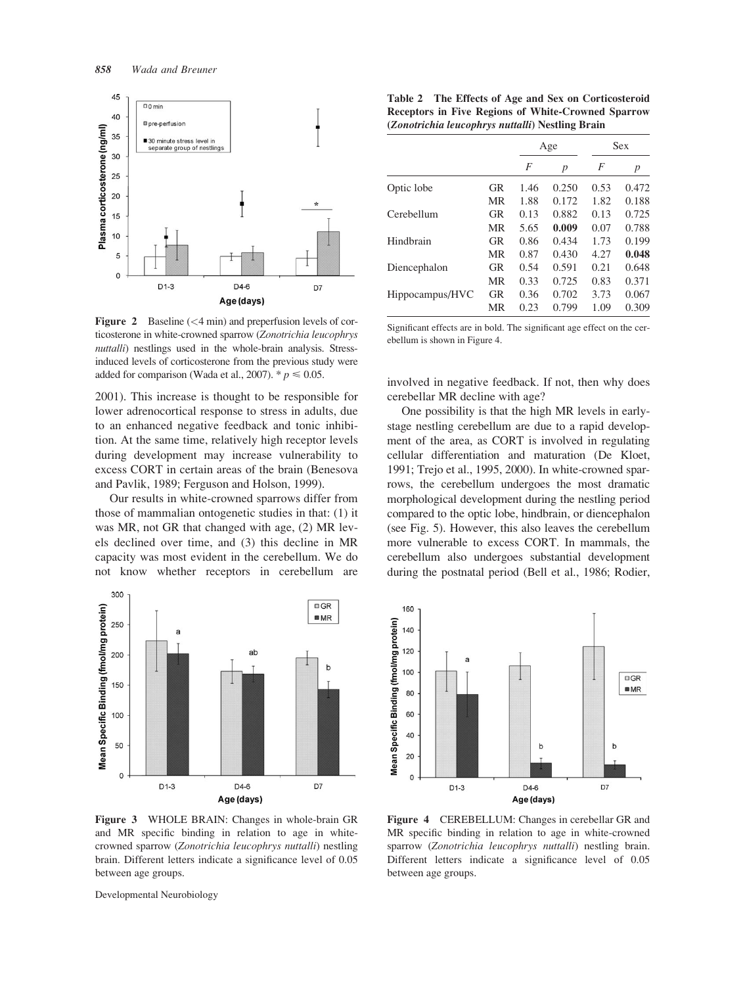

Figure 2 Baseline (<4 min) and preperfusion levels of corticosterone in white-crowned sparrow (Zonotrichia leucophrys nuttalli) nestlings used in the whole-brain analysis. Stressinduced levels of corticosterone from the previous study were added for comparison (Wada et al., 2007).  $p \le 0.05$ .

2001). This increase is thought to be responsible for lower adrenocortical response to stress in adults, due to an enhanced negative feedback and tonic inhibition. At the same time, relatively high receptor levels during development may increase vulnerability to excess CORT in certain areas of the brain (Benesova and Pavlik, 1989; Ferguson and Holson, 1999).

Our results in white-crowned sparrows differ from those of mammalian ontogenetic studies in that: (1) it was MR, not GR that changed with age, (2) MR levels declined over time, and (3) this decline in MR capacity was most evident in the cerebellum. We do not know whether receptors in cerebellum are



Figure 3 WHOLE BRAIN: Changes in whole-brain GR and MR specific binding in relation to age in whitecrowned sparrow (Zonotrichia leucophrys nuttalli) nestling brain. Different letters indicate a significance level of 0.05 between age groups.

Developmental Neurobiology

Table 2 The Effects of Age and Sex on Corticosteroid Receptors in Five Regions of White-Crowned Sparrow (Zonotrichia leucophrys nuttalli) Nestling Brain

|                 |    | Age  |                  | Sex  |       |
|-----------------|----|------|------------------|------|-------|
|                 |    | F    | $\boldsymbol{p}$ | F    | p     |
| Optic lobe      | GR | 1.46 | 0.250            | 0.53 | 0.472 |
|                 | MR | 1.88 | 0.172            | 1.82 | 0.188 |
| Cerebellum      | GR | 0.13 | 0.882            | 0.13 | 0.725 |
|                 | MR | 5.65 | 0.009            | 0.07 | 0.788 |
| Hindbrain       | GR | 0.86 | 0.434            | 1.73 | 0.199 |
|                 | MR | 0.87 | 0.430            | 4.27 | 0.048 |
| Diencephalon    | GR | 0.54 | 0.591            | 0.21 | 0.648 |
|                 | MR | 0.33 | 0.725            | 0.83 | 0.371 |
| Hippocampus/HVC | GR | 0.36 | 0.702            | 3.73 | 0.067 |
|                 | MR | 0.23 | 0.799            | 1.09 | 0.309 |

Significant effects are in bold. The significant age effect on the cerebellum is shown in Figure 4.

involved in negative feedback. If not, then why does cerebellar MR decline with age?

One possibility is that the high MR levels in earlystage nestling cerebellum are due to a rapid development of the area, as CORT is involved in regulating cellular differentiation and maturation (De Kloet, 1991; Trejo et al., 1995, 2000). In white-crowned sparrows, the cerebellum undergoes the most dramatic morphological development during the nestling period compared to the optic lobe, hindbrain, or diencephalon (see Fig. 5). However, this also leaves the cerebellum more vulnerable to excess CORT. In mammals, the cerebellum also undergoes substantial development during the postnatal period (Bell et al., 1986; Rodier,



Figure 4 CEREBELLUM: Changes in cerebellar GR and MR specific binding in relation to age in white-crowned sparrow (Zonotrichia leucophrys nuttalli) nestling brain. Different letters indicate a significance level of 0.05 between age groups.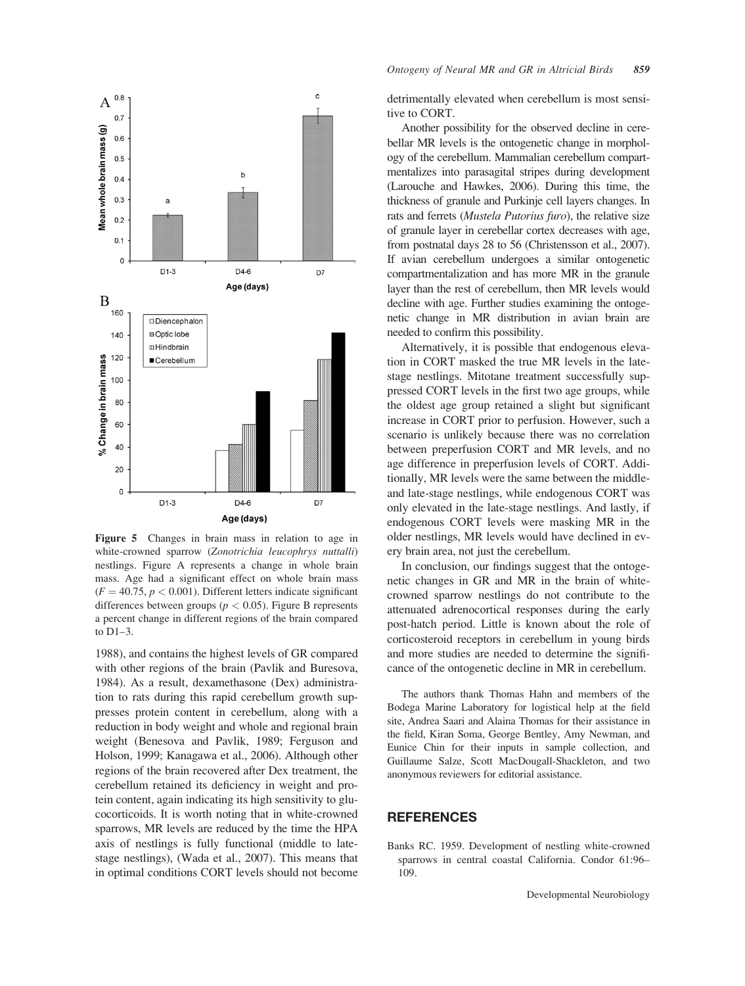

Figure 5 Changes in brain mass in relation to age in white-crowned sparrow (Zonotrichia leucophrys nuttalli) nestlings. Figure A represents a change in whole brain mass. Age had a significant effect on whole brain mass  $(F = 40.75, p < 0.001)$ . Different letters indicate significant differences between groups ( $p < 0.05$ ). Figure B represents a percent change in different regions of the brain compared to D1–3.

1988), and contains the highest levels of GR compared with other regions of the brain (Pavlik and Buresova, 1984). As a result, dexamethasone (Dex) administration to rats during this rapid cerebellum growth suppresses protein content in cerebellum, along with a reduction in body weight and whole and regional brain weight (Benesova and Pavlik, 1989; Ferguson and Holson, 1999; Kanagawa et al., 2006). Although other regions of the brain recovered after Dex treatment, the cerebellum retained its deficiency in weight and protein content, again indicating its high sensitivity to glucocorticoids. It is worth noting that in white-crowned sparrows, MR levels are reduced by the time the HPA axis of nestlings is fully functional (middle to latestage nestlings), (Wada et al., 2007). This means that in optimal conditions CORT levels should not become

detrimentally elevated when cerebellum is most sensitive to CORT.

Another possibility for the observed decline in cerebellar MR levels is the ontogenetic change in morphology of the cerebellum. Mammalian cerebellum compartmentalizes into parasagital stripes during development (Larouche and Hawkes, 2006). During this time, the thickness of granule and Purkinje cell layers changes. In rats and ferrets (*Mustela Putorius furo*), the relative size of granule layer in cerebellar cortex decreases with age, from postnatal days 28 to 56 (Christensson et al., 2007). If avian cerebellum undergoes a similar ontogenetic compartmentalization and has more MR in the granule layer than the rest of cerebellum, then MR levels would decline with age. Further studies examining the ontogenetic change in MR distribution in avian brain are needed to confirm this possibility.

Alternatively, it is possible that endogenous elevation in CORT masked the true MR levels in the latestage nestlings. Mitotane treatment successfully suppressed CORT levels in the first two age groups, while the oldest age group retained a slight but significant increase in CORT prior to perfusion. However, such a scenario is unlikely because there was no correlation between preperfusion CORT and MR levels, and no age difference in preperfusion levels of CORT. Additionally, MR levels were the same between the middleand late-stage nestlings, while endogenous CORT was only elevated in the late-stage nestlings. And lastly, if endogenous CORT levels were masking MR in the older nestlings, MR levels would have declined in every brain area, not just the cerebellum.

In conclusion, our findings suggest that the ontogenetic changes in GR and MR in the brain of whitecrowned sparrow nestlings do not contribute to the attenuated adrenocortical responses during the early post-hatch period. Little is known about the role of corticosteroid receptors in cerebellum in young birds and more studies are needed to determine the significance of the ontogenetic decline in MR in cerebellum.

The authors thank Thomas Hahn and members of the Bodega Marine Laboratory for logistical help at the field site, Andrea Saari and Alaina Thomas for their assistance in the field, Kiran Soma, George Bentley, Amy Newman, and Eunice Chin for their inputs in sample collection, and Guillaume Salze, Scott MacDougall-Shackleton, and two anonymous reviewers for editorial assistance.

#### **REFERENCES**

Banks RC. 1959. Development of nestling white-crowned sparrows in central coastal California. Condor 61:96– 109.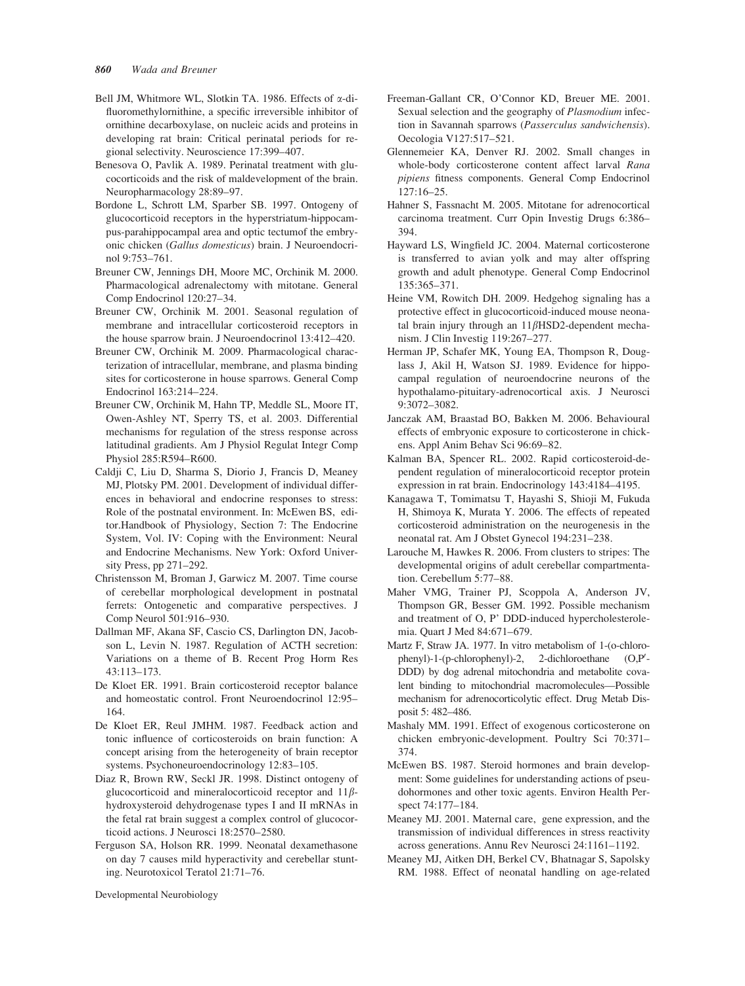- Bell JM, Whitmore WL, Slotkin TA. 1986. Effects of  $\alpha$ -difluoromethylornithine, a specific irreversible inhibitor of ornithine decarboxylase, on nucleic acids and proteins in developing rat brain: Critical perinatal periods for regional selectivity. Neuroscience 17:399–407.
- Benesova O, Pavlik A. 1989. Perinatal treatment with glucocorticoids and the risk of maldevelopment of the brain. Neuropharmacology 28:89–97.
- Bordone L, Schrott LM, Sparber SB. 1997. Ontogeny of glucocorticoid receptors in the hyperstriatum-hippocampus-parahippocampal area and optic tectumof the embryonic chicken (Gallus domesticus) brain. J Neuroendocrinol 9:753–761.
- Breuner CW, Jennings DH, Moore MC, Orchinik M. 2000. Pharmacological adrenalectomy with mitotane. General Comp Endocrinol 120:27–34.
- Breuner CW, Orchinik M. 2001. Seasonal regulation of membrane and intracellular corticosteroid receptors in the house sparrow brain. J Neuroendocrinol 13:412–420.
- Breuner CW, Orchinik M. 2009. Pharmacological characterization of intracellular, membrane, and plasma binding sites for corticosterone in house sparrows. General Comp Endocrinol 163:214–224.
- Breuner CW, Orchinik M, Hahn TP, Meddle SL, Moore IT, Owen-Ashley NT, Sperry TS, et al. 2003. Differential mechanisms for regulation of the stress response across latitudinal gradients. Am J Physiol Regulat Integr Comp Physiol 285:R594–R600.
- Caldji C, Liu D, Sharma S, Diorio J, Francis D, Meaney MJ, Plotsky PM. 2001. Development of individual differences in behavioral and endocrine responses to stress: Role of the postnatal environment. In: McEwen BS, editor.Handbook of Physiology, Section 7: The Endocrine System, Vol. IV: Coping with the Environment: Neural and Endocrine Mechanisms. New York: Oxford University Press, pp 271–292.
- Christensson M, Broman J, Garwicz M. 2007. Time course of cerebellar morphological development in postnatal ferrets: Ontogenetic and comparative perspectives. J Comp Neurol 501:916–930.
- Dallman MF, Akana SF, Cascio CS, Darlington DN, Jacobson L, Levin N. 1987. Regulation of ACTH secretion: Variations on a theme of B. Recent Prog Horm Res 43:113–173.
- De Kloet ER. 1991. Brain corticosteroid receptor balance and homeostatic control. Front Neuroendocrinol 12:95– 164.
- De Kloet ER, Reul JMHM. 1987. Feedback action and tonic influence of corticosteroids on brain function: A concept arising from the heterogeneity of brain receptor systems. Psychoneuroendocrinology 12:83–105.
- Diaz R, Brown RW, Seckl JR. 1998. Distinct ontogeny of glucocorticoid and mineralocorticoid receptor and 11bhydroxysteroid dehydrogenase types I and II mRNAs in the fetal rat brain suggest a complex control of glucocorticoid actions. J Neurosci 18:2570–2580.
- Ferguson SA, Holson RR. 1999. Neonatal dexamethasone on day 7 causes mild hyperactivity and cerebellar stunting. Neurotoxicol Teratol 21:71–76.
- Freeman-Gallant CR, O'Connor KD, Breuer ME. 2001. Sexual selection and the geography of Plasmodium infection in Savannah sparrows (Passerculus sandwichensis). Oecologia V127:517–521.
- Glennemeier KA, Denver RJ. 2002. Small changes in whole-body corticosterone content affect larval Rana pipiens fitness components. General Comp Endocrinol 127:16–25.
- Hahner S, Fassnacht M. 2005. Mitotane for adrenocortical carcinoma treatment. Curr Opin Investig Drugs 6:386– 394.
- Hayward LS, Wingfield JC. 2004. Maternal corticosterone is transferred to avian yolk and may alter offspring growth and adult phenotype. General Comp Endocrinol 135:365–371.
- Heine VM, Rowitch DH. 2009. Hedgehog signaling has a protective effect in glucocorticoid-induced mouse neonatal brain injury through an  $11\beta$ HSD2-dependent mechanism. J Clin Investig 119:267–277.
- Herman JP, Schafer MK, Young EA, Thompson R, Douglass J, Akil H, Watson SJ. 1989. Evidence for hippocampal regulation of neuroendocrine neurons of the hypothalamo-pituitary-adrenocortical axis. J Neurosci 9:3072–3082.
- Janczak AM, Braastad BO, Bakken M. 2006. Behavioural effects of embryonic exposure to corticosterone in chickens. Appl Anim Behav Sci 96:69–82.
- Kalman BA, Spencer RL. 2002. Rapid corticosteroid-dependent regulation of mineralocorticoid receptor protein expression in rat brain. Endocrinology 143:4184–4195.
- Kanagawa T, Tomimatsu T, Hayashi S, Shioji M, Fukuda H, Shimoya K, Murata Y. 2006. The effects of repeated corticosteroid administration on the neurogenesis in the neonatal rat. Am J Obstet Gynecol 194:231–238.
- Larouche M, Hawkes R. 2006. From clusters to stripes: The developmental origins of adult cerebellar compartmentation. Cerebellum 5:77–88.
- Maher VMG, Trainer PJ, Scoppola A, Anderson JV, Thompson GR, Besser GM. 1992. Possible mechanism and treatment of O, P' DDD-induced hypercholesterolemia. Quart J Med 84:671–679.
- Martz F, Straw JA. 1977. In vitro metabolism of 1-(o-chlorophenyl)-1-(p-chlorophenyl)-2, 2-dichloroethane  $(O.P')$ DDD) by dog adrenal mitochondria and metabolite covalent binding to mitochondrial macromolecules—Possible mechanism for adrenocorticolytic effect. Drug Metab Disposit 5: 482–486.
- Mashaly MM. 1991. Effect of exogenous corticosterone on chicken embryonic-development. Poultry Sci 70:371– 374.
- McEwen BS. 1987. Steroid hormones and brain development: Some guidelines for understanding actions of pseudohormones and other toxic agents. Environ Health Perspect 74:177–184.
- Meaney MJ. 2001. Maternal care, gene expression, and the transmission of individual differences in stress reactivity across generations. Annu Rev Neurosci 24:1161–1192.
- Meaney MJ, Aitken DH, Berkel CV, Bhatnagar S, Sapolsky RM. 1988. Effect of neonatal handling on age-related

Developmental Neurobiology